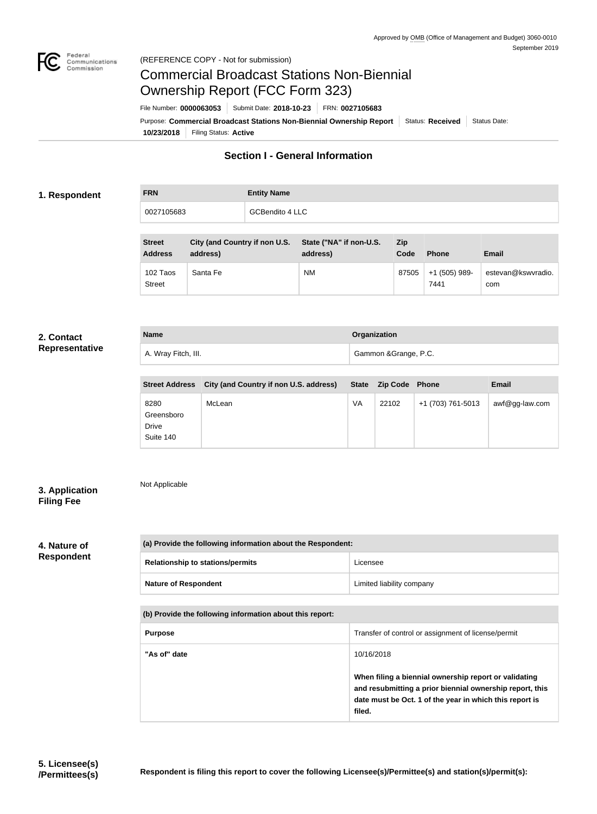

# Commercial Broadcast Stations Non-Biennial Ownership Report (FCC Form 323)

**10/23/2018** Filing Status: **Active** Purpose: Commercial Broadcast Stations Non-Biennial Ownership Report Status: Received Status Date: File Number: **0000063053** Submit Date: **2018-10-23** FRN: **0027105683**

## **Section I - General Information**

### **1. Respondent**

| <b>FRN</b> | <b>Entity Name</b>     |
|------------|------------------------|
| 0027105683 | <b>GCBendito 4 LLC</b> |

| <b>Street</b><br><b>Address</b> | City (and Country if non U.S.<br>address) | State ("NA" if non-U.S.<br>address) | Zip<br>Code | <b>Phone</b>          | <b>Email</b>              |
|---------------------------------|-------------------------------------------|-------------------------------------|-------------|-----------------------|---------------------------|
| 102 Taos<br><b>Street</b>       | Santa Fe                                  | <b>NM</b>                           | 87505       | +1 (505) 989-<br>7441 | estevan@kswvradio.<br>com |

#### **2. Contact Representative**

| <b>Name</b>         | Organization          |
|---------------------|-----------------------|
| A. Wray Fitch, III. | Gammon & Grange, P.C. |
|                     |                       |

| <b>Street Address</b>                    | City (and Country if non U.S. address) |    | State Zip Code | <b>Phone</b>      | <b>Email</b>   |
|------------------------------------------|----------------------------------------|----|----------------|-------------------|----------------|
| 8280<br>Greensboro<br>Drive<br>Suite 140 | McLean                                 | VA | 22102          | +1 (703) 761-5013 | awf@gg-law.com |

## **3. Application Filing Fee**

Not Applicable

## **4. Nature of Respondent**

| (a) Provide the following information about the Respondent: |                           |  |
|-------------------------------------------------------------|---------------------------|--|
| <b>Relationship to stations/permits</b>                     | Licensee                  |  |
| <b>Nature of Respondent</b>                                 | Limited liability company |  |
|                                                             |                           |  |

## **(b) Provide the following information about this report:**

| <b>Purpose</b> | Transfer of control or assignment of license/permit                                                                                                                                    |
|----------------|----------------------------------------------------------------------------------------------------------------------------------------------------------------------------------------|
| "As of" date   | 10/16/2018                                                                                                                                                                             |
|                | When filing a biennial ownership report or validating<br>and resubmitting a prior biennial ownership report, this<br>date must be Oct. 1 of the year in which this report is<br>filed. |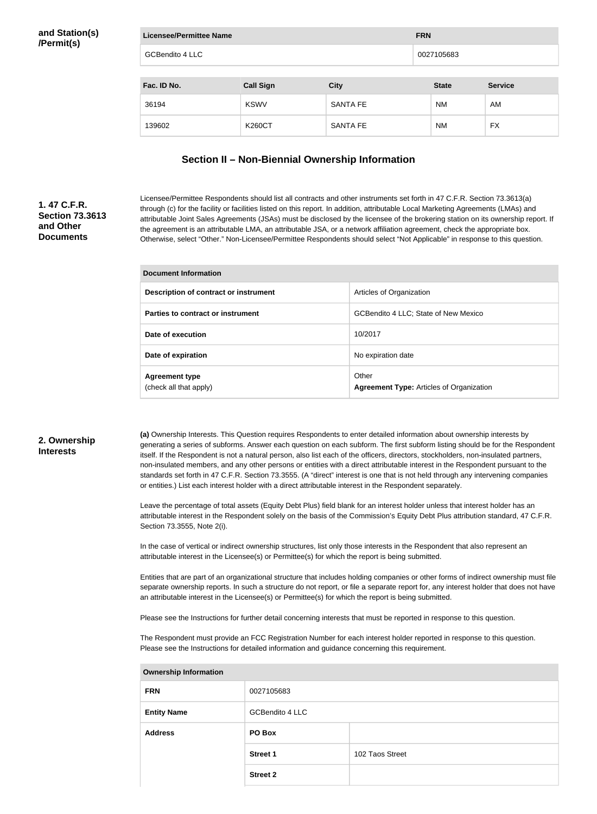| Licensee/Permittee Name |                  |                 | <b>FRN</b>   |                |
|-------------------------|------------------|-----------------|--------------|----------------|
| <b>GCBendito 4 LLC</b>  |                  |                 | 0027105683   |                |
| Fac. ID No.             | <b>Call Sign</b> | <b>City</b>     | <b>State</b> | <b>Service</b> |
| 36194                   | <b>KSWV</b>      | <b>SANTA FE</b> | <b>NM</b>    | AM             |
| 139602                  | <b>K260CT</b>    | <b>SANTA FE</b> | <b>NM</b>    | <b>FX</b>      |

## **Section II – Non-Biennial Ownership Information**

## **1. 47 C.F.R. Section 73.3613 and Other Documents**

Licensee/Permittee Respondents should list all contracts and other instruments set forth in 47 C.F.R. Section 73.3613(a) through (c) for the facility or facilities listed on this report. In addition, attributable Local Marketing Agreements (LMAs) and attributable Joint Sales Agreements (JSAs) must be disclosed by the licensee of the brokering station on its ownership report. If the agreement is an attributable LMA, an attributable JSA, or a network affiliation agreement, check the appropriate box. Otherwise, select "Other." Non-Licensee/Permittee Respondents should select "Not Applicable" in response to this question.

| <b>Document Information</b>                     |                                                          |  |
|-------------------------------------------------|----------------------------------------------------------|--|
| Description of contract or instrument           | Articles of Organization                                 |  |
| Parties to contract or instrument               | GCBendito 4 LLC; State of New Mexico                     |  |
| Date of execution                               | 10/2017                                                  |  |
| Date of expiration                              | No expiration date                                       |  |
| <b>Agreement type</b><br>(check all that apply) | Other<br><b>Agreement Type:</b> Articles of Organization |  |

#### **2. Ownership Interests**

**(a)** Ownership Interests. This Question requires Respondents to enter detailed information about ownership interests by generating a series of subforms. Answer each question on each subform. The first subform listing should be for the Respondent itself. If the Respondent is not a natural person, also list each of the officers, directors, stockholders, non-insulated partners, non-insulated members, and any other persons or entities with a direct attributable interest in the Respondent pursuant to the standards set forth in 47 C.F.R. Section 73.3555. (A "direct" interest is one that is not held through any intervening companies or entities.) List each interest holder with a direct attributable interest in the Respondent separately.

Leave the percentage of total assets (Equity Debt Plus) field blank for an interest holder unless that interest holder has an attributable interest in the Respondent solely on the basis of the Commission's Equity Debt Plus attribution standard, 47 C.F.R. Section 73.3555, Note 2(i).

In the case of vertical or indirect ownership structures, list only those interests in the Respondent that also represent an attributable interest in the Licensee(s) or Permittee(s) for which the report is being submitted.

Entities that are part of an organizational structure that includes holding companies or other forms of indirect ownership must file separate ownership reports. In such a structure do not report, or file a separate report for, any interest holder that does not have an attributable interest in the Licensee(s) or Permittee(s) for which the report is being submitted.

Please see the Instructions for further detail concerning interests that must be reported in response to this question.

The Respondent must provide an FCC Registration Number for each interest holder reported in response to this question. Please see the Instructions for detailed information and guidance concerning this requirement.

| Ownership information |                 |                 |  |  |
|-----------------------|-----------------|-----------------|--|--|
| <b>FRN</b>            | 0027105683      |                 |  |  |
| <b>Entity Name</b>    | GCBendito 4 LLC |                 |  |  |
| <b>Address</b>        | PO Box          |                 |  |  |
|                       | <b>Street 1</b> | 102 Taos Street |  |  |
|                       | <b>Street 2</b> |                 |  |  |

#### **Ownership Information**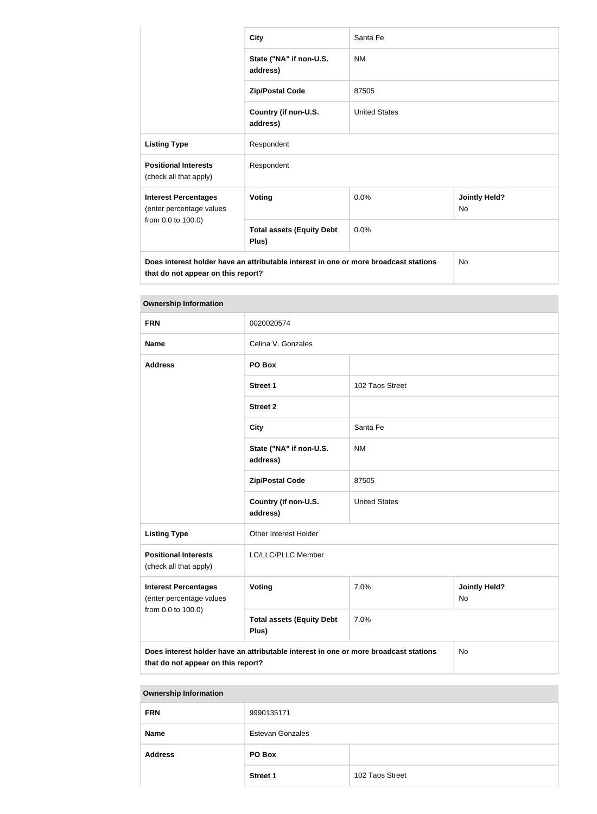|                                                                                                                            | <b>City</b>                               | Santa Fe             |                            |  |  |
|----------------------------------------------------------------------------------------------------------------------------|-------------------------------------------|----------------------|----------------------------|--|--|
|                                                                                                                            | State ("NA" if non-U.S.<br>address)       | <b>NM</b>            |                            |  |  |
|                                                                                                                            | <b>Zip/Postal Code</b>                    | 87505                |                            |  |  |
|                                                                                                                            | Country (if non-U.S.<br>address)          | <b>United States</b> |                            |  |  |
| <b>Listing Type</b>                                                                                                        | Respondent                                |                      |                            |  |  |
| <b>Positional Interests</b><br>(check all that apply)                                                                      | Respondent                                |                      |                            |  |  |
| <b>Interest Percentages</b><br>(enter percentage values                                                                    | <b>Voting</b>                             | 0.0%                 | <b>Jointly Held?</b><br>No |  |  |
| from 0.0 to 100.0)                                                                                                         | <b>Total assets (Equity Debt</b><br>Plus) | 0.0%                 |                            |  |  |
| Does interest holder have an attributable interest in one or more broadcast stations<br>that do not appear on this report? |                                           |                      | <b>No</b>                  |  |  |

| <b>Ownership Information</b>                                                  |                                                                                      |                      |                            |  |
|-------------------------------------------------------------------------------|--------------------------------------------------------------------------------------|----------------------|----------------------------|--|
| <b>FRN</b>                                                                    | 0020020574                                                                           |                      |                            |  |
| <b>Name</b>                                                                   | Celina V. Gonzales                                                                   |                      |                            |  |
| <b>Address</b>                                                                | PO Box                                                                               |                      |                            |  |
|                                                                               | <b>Street 1</b>                                                                      | 102 Taos Street      |                            |  |
|                                                                               | <b>Street 2</b>                                                                      |                      |                            |  |
|                                                                               | <b>City</b>                                                                          | Santa Fe             |                            |  |
|                                                                               | State ("NA" if non-U.S.<br>address)                                                  | <b>NM</b>            |                            |  |
|                                                                               | <b>Zip/Postal Code</b>                                                               | 87505                |                            |  |
|                                                                               | Country (if non-U.S.<br>address)                                                     | <b>United States</b> |                            |  |
| <b>Listing Type</b>                                                           | Other Interest Holder                                                                |                      |                            |  |
| <b>Positional Interests</b><br>(check all that apply)                         | LC/LLC/PLLC Member                                                                   |                      |                            |  |
| <b>Interest Percentages</b><br>(enter percentage values<br>from 0.0 to 100.0) | Voting                                                                               | 7.0%                 | <b>Jointly Held?</b><br>No |  |
|                                                                               | <b>Total assets (Equity Debt</b><br>Plus)                                            | 7.0%                 |                            |  |
| that de net ennear en this renew?                                             | Does interest holder have an attributable interest in one or more broadcast stations |                      | No                         |  |

**that do not appear on this report?**

| <b>Ownership Information</b> |                         |                 |  |  |
|------------------------------|-------------------------|-----------------|--|--|
| <b>FRN</b>                   | 9990135171              |                 |  |  |
| <b>Name</b>                  | <b>Estevan Gonzales</b> |                 |  |  |
| <b>Address</b>               | PO Box                  |                 |  |  |
|                              | <b>Street 1</b>         | 102 Taos Street |  |  |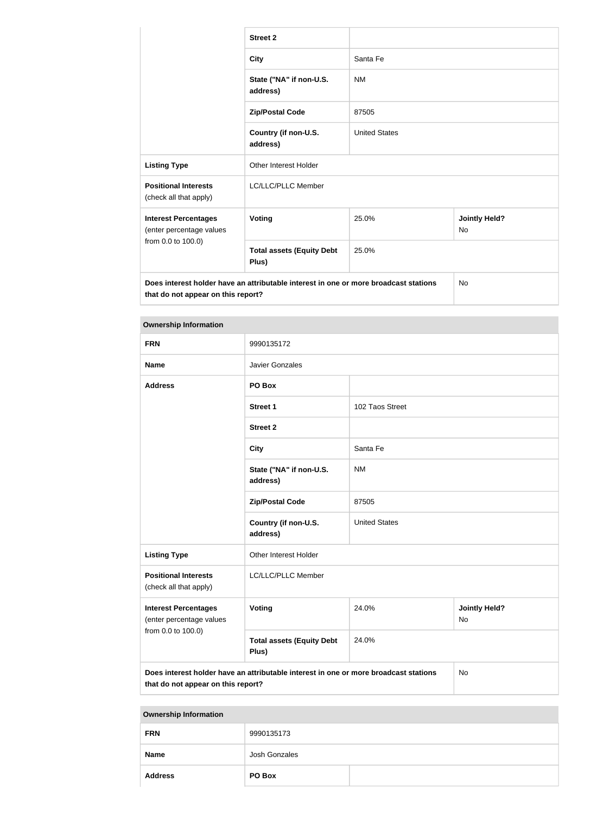|                                                         | <b>Street 2</b>                                                                      |                      |                                   |
|---------------------------------------------------------|--------------------------------------------------------------------------------------|----------------------|-----------------------------------|
|                                                         | <b>City</b>                                                                          | Santa Fe             |                                   |
|                                                         | State ("NA" if non-U.S.<br>address)                                                  | <b>NM</b>            |                                   |
|                                                         | <b>Zip/Postal Code</b>                                                               | 87505                |                                   |
|                                                         | Country (if non-U.S.<br>address)                                                     | <b>United States</b> |                                   |
| <b>Listing Type</b>                                     | <b>Other Interest Holder</b>                                                         |                      |                                   |
| <b>Positional Interests</b><br>(check all that apply)   | LC/LLC/PLLC Member                                                                   |                      |                                   |
| <b>Interest Percentages</b><br>(enter percentage values | Voting                                                                               | 25.0%                | <b>Jointly Held?</b><br><b>No</b> |
| from 0.0 to 100.0)                                      | <b>Total assets (Equity Debt</b><br>Plus)                                            | 25.0%                |                                   |
| that do not appear on this report?                      | Does interest holder have an attributable interest in one or more broadcast stations |                      | <b>No</b>                         |

| <b>Ownership Information</b>                                                                                                     |                                                  |                      |                            |  |
|----------------------------------------------------------------------------------------------------------------------------------|--------------------------------------------------|----------------------|----------------------------|--|
| <b>FRN</b>                                                                                                                       | 9990135172                                       |                      |                            |  |
| <b>Name</b>                                                                                                                      | Javier Gonzales                                  |                      |                            |  |
| <b>Address</b>                                                                                                                   | PO Box                                           |                      |                            |  |
|                                                                                                                                  | <b>Street 1</b>                                  | 102 Taos Street      |                            |  |
|                                                                                                                                  | <b>Street 2</b>                                  |                      |                            |  |
|                                                                                                                                  | <b>City</b>                                      | Santa Fe             |                            |  |
|                                                                                                                                  | State ("NA" if non-U.S.<br><b>NM</b><br>address) |                      |                            |  |
|                                                                                                                                  | <b>Zip/Postal Code</b>                           | 87505                |                            |  |
|                                                                                                                                  | Country (if non-U.S.<br>address)                 | <b>United States</b> |                            |  |
| <b>Listing Type</b>                                                                                                              | Other Interest Holder                            |                      |                            |  |
| <b>Positional Interests</b><br>(check all that apply)                                                                            | LC/LLC/PLLC Member                               |                      |                            |  |
| <b>Interest Percentages</b><br>(enter percentage values                                                                          | Voting                                           | 24.0%                | <b>Jointly Held?</b><br>No |  |
| from 0.0 to 100.0)                                                                                                               | <b>Total assets (Equity Debt</b><br>Plus)        | 24.0%                |                            |  |
| Does interest holder have an attributable interest in one or more broadcast stations<br>No<br>that do not appear on this report? |                                                  |                      |                            |  |

| <b>Ownership Information</b> |               |  |
|------------------------------|---------------|--|
| <b>FRN</b>                   | 9990135173    |  |
| <b>Name</b>                  | Josh Gonzales |  |
| <b>Address</b>               | PO Box        |  |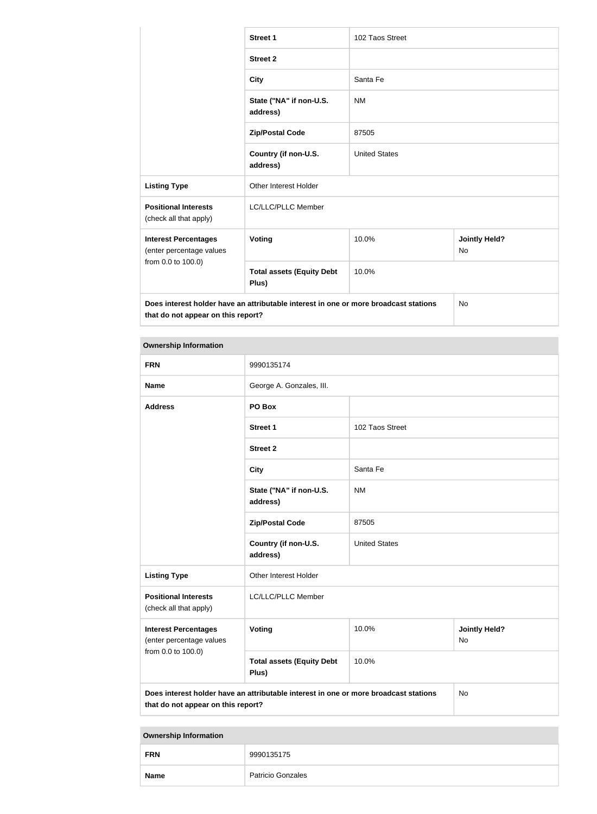|                                                                                      | <b>Street 1</b>                           | 102 Taos Street      |                                   |
|--------------------------------------------------------------------------------------|-------------------------------------------|----------------------|-----------------------------------|
|                                                                                      | <b>Street 2</b>                           |                      |                                   |
|                                                                                      | <b>City</b>                               | Santa Fe             |                                   |
|                                                                                      | State ("NA" if non-U.S.<br>address)       | <b>NM</b>            |                                   |
|                                                                                      | <b>Zip/Postal Code</b>                    | 87505                |                                   |
|                                                                                      | Country (if non-U.S.<br>address)          | <b>United States</b> |                                   |
| <b>Listing Type</b>                                                                  | <b>Other Interest Holder</b>              |                      |                                   |
| <b>Positional Interests</b><br>(check all that apply)                                | LC/LLC/PLLC Member                        |                      |                                   |
| <b>Interest Percentages</b><br>(enter percentage values                              | <b>Voting</b>                             | 10.0%                | <b>Jointly Held?</b><br><b>No</b> |
| from 0.0 to 100.0)                                                                   | <b>Total assets (Equity Debt</b><br>Plus) | 10.0%                |                                   |
| Does interest holder have an attributable interest in one or more broadcast stations |                                           |                      | No                                |

**that do not appear on this report?**

| <b>Ownership Information</b>                                                                                                            |                                           |                                            |  |  |
|-----------------------------------------------------------------------------------------------------------------------------------------|-------------------------------------------|--------------------------------------------|--|--|
| <b>FRN</b>                                                                                                                              | 9990135174                                |                                            |  |  |
| <b>Name</b>                                                                                                                             | George A. Gonzales, III.                  |                                            |  |  |
| <b>Address</b>                                                                                                                          | PO Box                                    |                                            |  |  |
|                                                                                                                                         | <b>Street 1</b>                           | 102 Taos Street                            |  |  |
|                                                                                                                                         | <b>Street 2</b>                           |                                            |  |  |
|                                                                                                                                         | <b>City</b>                               | Santa Fe                                   |  |  |
|                                                                                                                                         | State ("NA" if non-U.S.<br>address)       | <b>NM</b>                                  |  |  |
|                                                                                                                                         | <b>Zip/Postal Code</b>                    | 87505                                      |  |  |
|                                                                                                                                         | Country (if non-U.S.<br>address)          | <b>United States</b>                       |  |  |
| <b>Listing Type</b>                                                                                                                     | Other Interest Holder                     |                                            |  |  |
| <b>Positional Interests</b><br>(check all that apply)                                                                                   | LC/LLC/PLLC Member                        |                                            |  |  |
| <b>Interest Percentages</b><br>(enter percentage values<br>from 0.0 to 100.0)                                                           | <b>Voting</b>                             | 10.0%<br><b>Jointly Held?</b><br><b>No</b> |  |  |
|                                                                                                                                         | <b>Total assets (Equity Debt</b><br>Plus) | 10.0%                                      |  |  |
| Does interest holder have an attributable interest in one or more broadcast stations<br><b>No</b><br>that do not appear on this report? |                                           |                                            |  |  |

| <b>Ownership Information</b> |                          |  |
|------------------------------|--------------------------|--|
| <b>FRN</b>                   | 9990135175               |  |
| <b>Name</b>                  | <b>Patricio Gonzales</b> |  |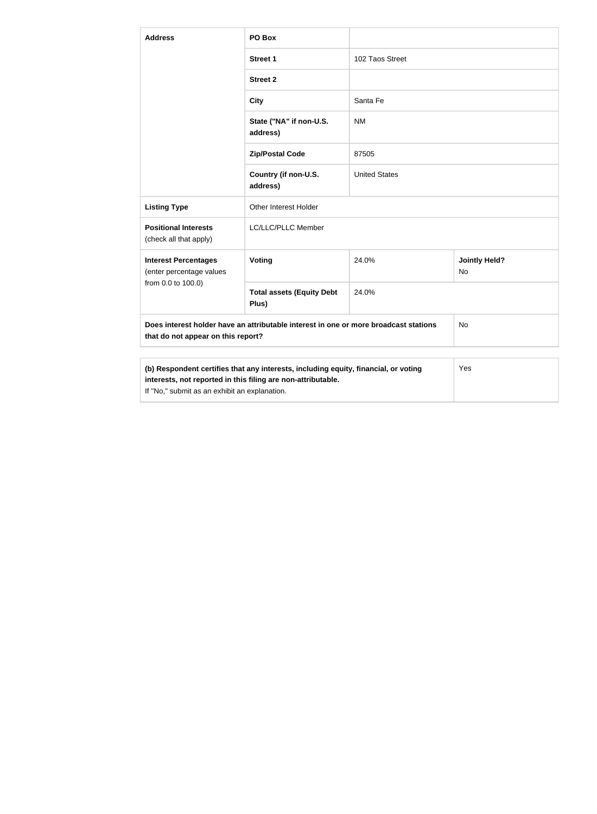| <b>Address</b>                                                                                                                                                                                       | PO Box                                    |                      |                            |  |
|------------------------------------------------------------------------------------------------------------------------------------------------------------------------------------------------------|-------------------------------------------|----------------------|----------------------------|--|
|                                                                                                                                                                                                      | <b>Street 1</b>                           | 102 Taos Street      |                            |  |
|                                                                                                                                                                                                      | <b>Street 2</b>                           |                      |                            |  |
|                                                                                                                                                                                                      | <b>City</b>                               | Santa Fe             |                            |  |
|                                                                                                                                                                                                      | State ("NA" if non-U.S.<br>address)       | <b>NM</b>            |                            |  |
|                                                                                                                                                                                                      | <b>Zip/Postal Code</b>                    | 87505                |                            |  |
|                                                                                                                                                                                                      | Country (if non-U.S.<br>address)          | <b>United States</b> |                            |  |
| <b>Listing Type</b>                                                                                                                                                                                  | Other Interest Holder                     |                      |                            |  |
| <b>Positional Interests</b><br>(check all that apply)                                                                                                                                                | LC/LLC/PLLC Member                        |                      |                            |  |
| <b>Interest Percentages</b><br>(enter percentage values                                                                                                                                              | Voting                                    | 24.0%                | <b>Jointly Held?</b><br>No |  |
| from 0.0 to 100.0)                                                                                                                                                                                   | <b>Total assets (Equity Debt</b><br>Plus) | 24.0%                |                            |  |
| Does interest holder have an attributable interest in one or more broadcast stations<br>that do not appear on this report?                                                                           |                                           | No                   |                            |  |
|                                                                                                                                                                                                      |                                           |                      |                            |  |
| (b) Respondent certifies that any interests, including equity, financial, or voting<br>interests, not reported in this filing are non-attributable.<br>If "No," submit as an exhibit an explanation. |                                           |                      | Yes                        |  |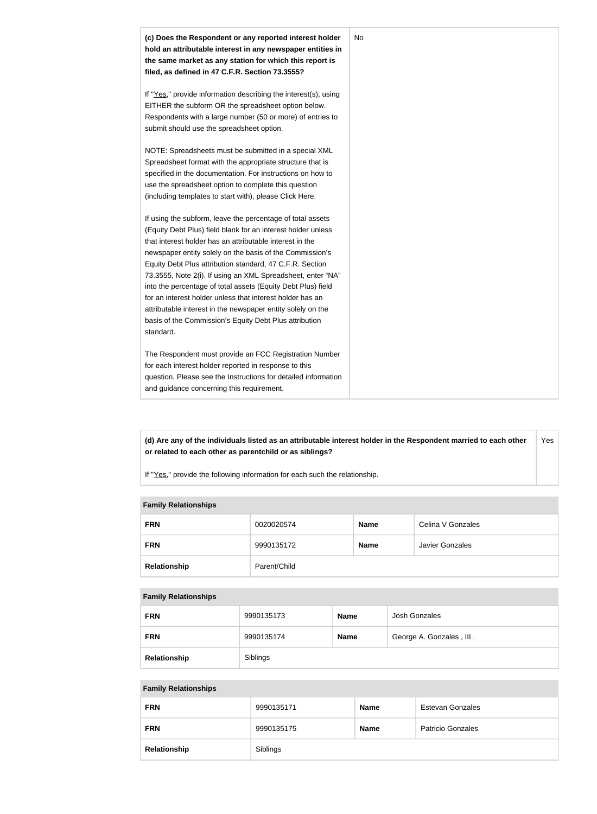

**(d) Are any of the individuals listed as an attributable interest holder in the Respondent married to each other or related to each other as parentchild or as siblings?** Yes

If "Yes," provide the following information for each such the relationship.

#### **Family Relationships**

| <b>FRN</b>   | 0020020574   | <b>Name</b> | Celina V Gonzales      |
|--------------|--------------|-------------|------------------------|
| <b>FRN</b>   | 9990135172   | <b>Name</b> | <b>Javier Gonzales</b> |
| Relationship | Parent/Child |             |                        |

#### **Family Relationships**

| <b>FRN</b>   | 9990135173 | <b>Name</b> | Josh Gonzales            |
|--------------|------------|-------------|--------------------------|
| <b>FRN</b>   | 9990135174 | <b>Name</b> | George A. Gonzales, III. |
| Relationship | Siblings   |             |                          |

#### **Family Relationships**

| <b>FRN</b>   | 9990135171 | <b>Name</b> | <b>Estevan Gonzales</b>  |
|--------------|------------|-------------|--------------------------|
| <b>FRN</b>   | 9990135175 | <b>Name</b> | <b>Patricio Gonzales</b> |
| Relationship | Siblings   |             |                          |